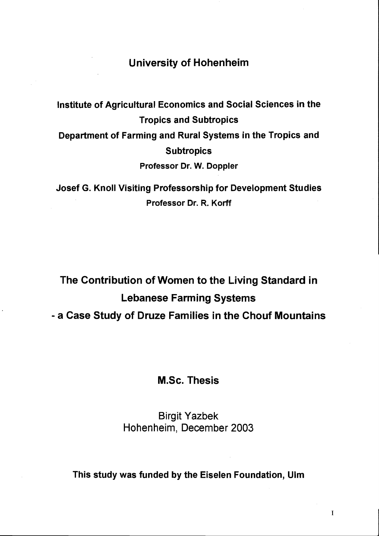## University of Hohenheim

Institute of Agricultural Economics and Social Sciences in the Tropics and Subtropics Department of Farming and Rural Systems in the Tropics and **Subtropics** Professor Dr. W. Doppler

Josef G. Knoll Visiting Professorship for Development Studies Professor Dr. R. Korff

The Contribution of Women to the Living Standard in Lebanese Farming Systems - a Case Study of Druze Families in the Chouf Mountains

M.Sc. Thesis

Birgit Yazbek Hohenheim, December 2003

This study was funded by the Eiselen Foundation, Ulm

I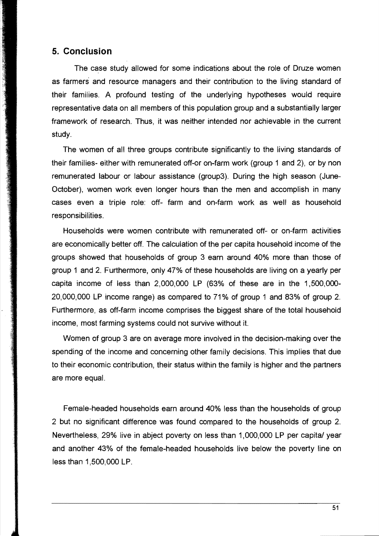## **5. Conclusion**

The case study allowed for some indications about the role of Druze women as farmers and resource managers and their contribution to the living standard of their families. A profound testing of the underlying hypotheses would require representative data on all members of this population group and a substantially larger framework of research. Thus, it was neither intended nor achievable in the current study.

The women of all three groups contribute significantly to the living standards of their families- either with remunerated off-or on-farm work (group 1 and 2), or by non remunerated labour or labour assistance (group3). During the high season (June-October), women work even longer hours than the men and accomplish in many cases even a tripie role: off- farm and on-farm work as weil as household responsibilities.

Households were women contribute with remunerated off- or on-farm activities are economically better off. The calculation of the per capita household income of the groups showed that households of group 3 earn around 40% more than those of group 1 and 2. Furthermore, only 47% of these households are living on a yearly per capita income of less than 2,000,000 LP (63% of these are in the 1,500,000 20,000,000 LP income range) as compared to 71 % of group 1 and 83% of group 2. Furthermore, as off-farm income comprises the biggest share of the total household income, most farming systems could not survive without it.

Women of group 3 are on average more involved in the decision-making over the spending of the income and concerning other family decisions. This implies that due to their economic contribution, their status within the family is higher and the partners are more equal.

Female-headed households earn around 40% less than the households of group 2 but no significant difference was found compared to the households of group 2. Nevertheless, 29% live in abject poverty on less than 1,000,000 LP per capital year and another 43% of the female-headed households live below the poverty line on less than 1,500,000 LP.